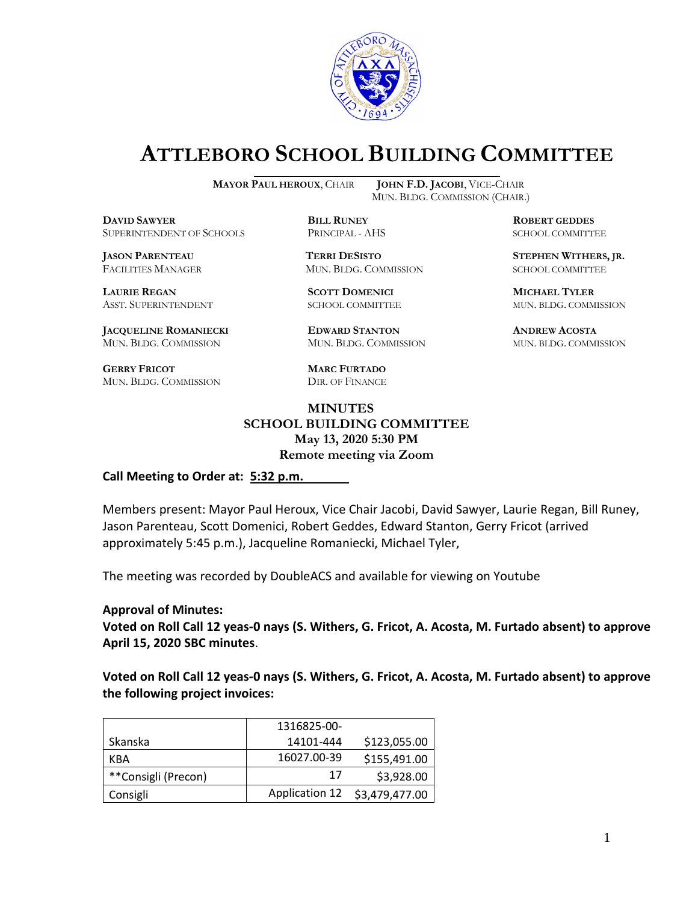

# **ATTLEBORO SCHOOL BUILDING COMMITTEE**

**MAYOR PAUL HEROUX**, CHAIR **JOHN F.D. JACOBI**, VICE-CHAIR

**DDEXIVER**<br> **BILL RUNEY ROBERT GEDDES**<br> **BILL RUNEY RINGPAL - AHS BOBERT GEDDES** SUPERINTENDENT OF SCHOOLS PRINCIPAL - AHS SCHOOL COMMITTEE

FACILITIES MANAGER MUN. BLDG. COMMISSION SCHOOL COMMITTEE

**LAURIE REGAN SCOTT DOMENICI MICHAEL TYLER**

**JACQUELINE ROMANIECKI EDWARD STANTON ANDREW ACOSTA** MUN. BLDG. COMMISSION MUN. BLDG. COMMISSION MUN. BLDG. COMMISSION

**GERRY FRICOT MARC FURTADO** MUN. BLDG. COMMISSION DIR. OF FINANCE

MUN. BLDG. COMMISSION (CHAIR.)

**JASON PARENTEAU TERRI DESISTO STEPHEN WITHERS, JR.**

ASST. SUPERINTENDENT SCHOOL COMMITTEE MUN. BLDG. COMMISSION

#### **MINUTES SCHOOL BUILDING COMMITTEE May 13, 2020 5:30 PM Remote meeting via Zoom**

**Call Meeting to Order at: 5:32 p.m.**

Members present: Mayor Paul Heroux, Vice Chair Jacobi, David Sawyer, Laurie Regan, Bill Runey, Jason Parenteau, Scott Domenici, Robert Geddes, Edward Stanton, Gerry Fricot (arrived approximately 5:45 p.m.), Jacqueline Romaniecki, Michael Tyler,

The meeting was recorded by DoubleACS and available for viewing on Youtube

#### **Approval of Minutes:**

**Voted on Roll Call 12 yeas-0 nays (S. Withers, G. Fricot, A. Acosta, M. Furtado absent) to approve April 15, 2020 SBC minutes**.

**Voted on Roll Call 12 yeas-0 nays (S. Withers, G. Fricot, A. Acosta, M. Furtado absent) to approve the following project invoices:**

|                     | 1316825-00-    |                |
|---------------------|----------------|----------------|
| Skanska             | 14101-444      | \$123,055.00   |
| KBA                 | 16027.00-39    | \$155,491.00   |
| **Consigli (Precon) | 17             | \$3,928.00     |
| Consigli            | Application 12 | \$3,479,477.00 |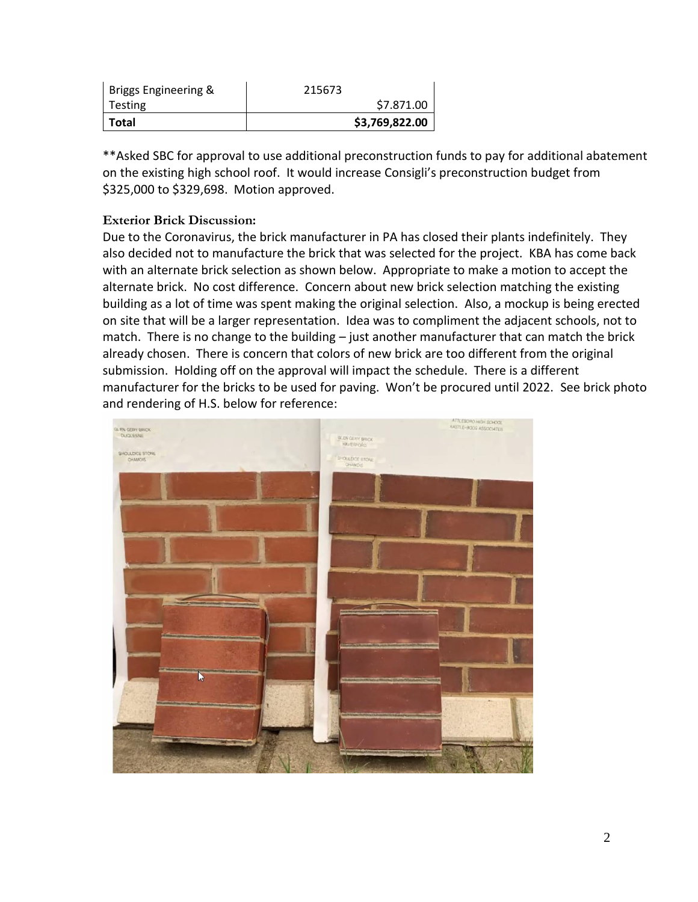| Briggs Engineering & | 215673         |
|----------------------|----------------|
| Testing              | \$7.871.00     |
| Total                | \$3,769,822.00 |

\*\*Asked SBC for approval to use additional preconstruction funds to pay for additional abatement on the existing high school roof. It would increase Consigli's preconstruction budget from \$325,000 to \$329,698. Motion approved.

### **Exterior Brick Discussion:**

Due to the Coronavirus, the brick manufacturer in PA has closed their plants indefinitely. They also decided not to manufacture the brick that was selected for the project. KBA has come back with an alternate brick selection as shown below. Appropriate to make a motion to accept the alternate brick. No cost difference. Concern about new brick selection matching the existing building as a lot of time was spent making the original selection. Also, a mockup is being erected on site that will be a larger representation. Idea was to compliment the adjacent schools, not to match. There is no change to the building – just another manufacturer that can match the brick already chosen. There is concern that colors of new brick are too different from the original submission. Holding off on the approval will impact the schedule. There is a different manufacturer for the bricks to be used for paving. Won't be procured until 2022. See brick photo and rendering of H.S. below for reference:

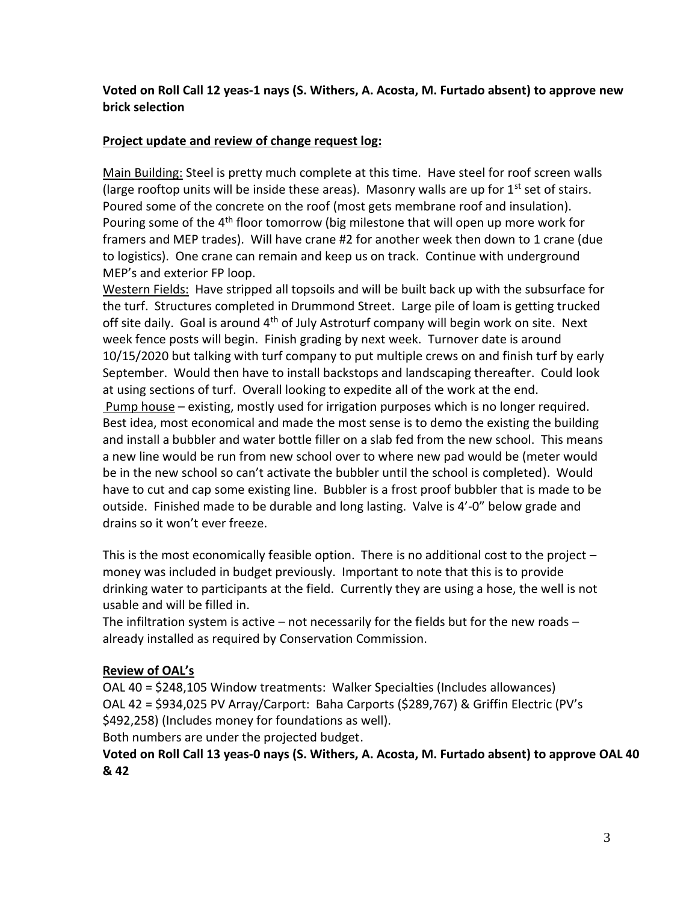#### **Voted on Roll Call 12 yeas-1 nays (S. Withers, A. Acosta, M. Furtado absent) to approve new brick selection**

#### **Project update and review of change request log:**

Main Building: Steel is pretty much complete at this time. Have steel for roof screen walls (large rooftop units will be inside these areas). Masonry walls are up for  $1<sup>st</sup>$  set of stairs. Poured some of the concrete on the roof (most gets membrane roof and insulation). Pouring some of the  $4<sup>th</sup>$  floor tomorrow (big milestone that will open up more work for framers and MEP trades). Will have crane #2 for another week then down to 1 crane (due to logistics). One crane can remain and keep us on track. Continue with underground MEP's and exterior FP loop.

Western Fields: Have stripped all topsoils and will be built back up with the subsurface for the turf. Structures completed in Drummond Street. Large pile of loam is getting trucked off site daily. Goal is around 4<sup>th</sup> of July Astroturf company will begin work on site. Next week fence posts will begin. Finish grading by next week. Turnover date is around 10/15/2020 but talking with turf company to put multiple crews on and finish turf by early September. Would then have to install backstops and landscaping thereafter. Could look at using sections of turf. Overall looking to expedite all of the work at the end. Pump house – existing, mostly used for irrigation purposes which is no longer required. Best idea, most economical and made the most sense is to demo the existing the building and install a bubbler and water bottle filler on a slab fed from the new school. This means a new line would be run from new school over to where new pad would be (meter would be in the new school so can't activate the bubbler until the school is completed). Would have to cut and cap some existing line. Bubbler is a frost proof bubbler that is made to be outside. Finished made to be durable and long lasting. Valve is 4'-0" below grade and drains so it won't ever freeze.

This is the most economically feasible option. There is no additional cost to the project – money was included in budget previously. Important to note that this is to provide drinking water to participants at the field. Currently they are using a hose, the well is not usable and will be filled in.

The infiltration system is active  $-$  not necessarily for the fields but for the new roads  $$ already installed as required by Conservation Commission.

#### **Review of OAL's**

OAL 40 = \$248,105 Window treatments: Walker Specialties (Includes allowances) OAL 42 = \$934,025 PV Array/Carport: Baha Carports (\$289,767) & Griffin Electric (PV's \$492,258) (Includes money for foundations as well).

Both numbers are under the projected budget.

### **Voted on Roll Call 13 yeas-0 nays (S. Withers, A. Acosta, M. Furtado absent) to approve OAL 40 & 42**